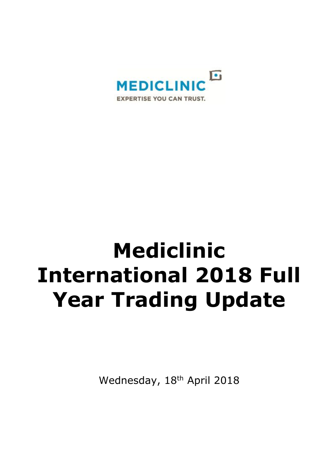

# **Mediclinic International 2018 Full Year Trading Update**

Wednesday, 18<sup>th</sup> April 2018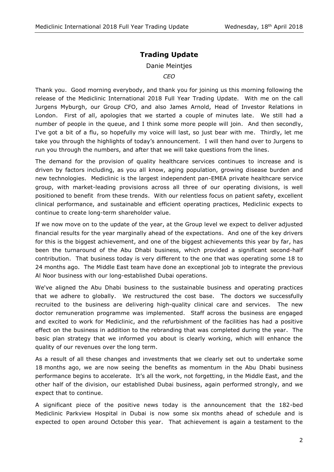## **Trading Update**

#### Danie Meintjes

*CEO*

Thank you. Good morning everybody, and thank you for joining us this morning following the release of the Mediclinic International 2018 Full Year Trading Update. With me on the call Jurgens Myburgh, our Group CFO, and also James Arnold, Head of Investor Relations in London. First of all, apologies that we started a couple of minutes late. We still had a number of people in the queue, and I think some more people will join. And then secondly, I've got a bit of a flu, so hopefully my voice will last, so just bear with me. Thirdly, let me take you through the highlights of today's announcement. I will then hand over to Jurgens to run you through the numbers, and after that we will take questions from the lines.

The demand for the provision of quality healthcare services continues to increase and is driven by factors including, as you all know, aging population, growing disease burden and new technologies. Mediclinic is the largest independent pan-EMEA private healthcare service group, with market-leading provisions across all three of our operating divisions, is well positioned to benefit from these trends. With our relentless focus on patient safety, excellent clinical performance, and sustainable and efficient operating practices, Mediclinic expects to continue to create long-term shareholder value.

If we now move on to the update of the year, at the Group level we expect to deliver adjusted financial results for the year marginally ahead of the expectations. And one of the key drivers for this is the biggest achievement, and one of the biggest achievements this year by far, has been the turnaround of the Abu Dhabi business, which provided a significant second-half contribution. That business today is very different to the one that was operating some 18 to 24 months ago. The Middle East team have done an exceptional job to integrate the previous Al Noor business with our long-established Dubai operations.

We've aligned the Abu Dhabi business to the sustainable business and operating practices that we adhere to globally. We restructured the cost base. The doctors we successfully recruited to the business are delivering high-quality clinical care and services. The new doctor remuneration programme was implemented. Staff across the business are engaged and excited to work for Mediclinic, and the refurbishment of the facilities has had a positive effect on the business in addition to the rebranding that was completed during the year. The basic plan strategy that we informed you about is clearly working, which will enhance the quality of our revenues over the long term.

As a result of all these changes and investments that we clearly set out to undertake some 18 months ago, we are now seeing the benefits as momentum in the Abu Dhabi business performance begins to accelerate. It's all the work, not forgetting, in the Middle East, and the other half of the division, our established Dubai business, again performed strongly, and we expect that to continue.

A significant piece of the positive news today is the announcement that the 182-bed Mediclinic Parkview Hospital in Dubai is now some six months ahead of schedule and is expected to open around October this year. That achievement is again a testament to the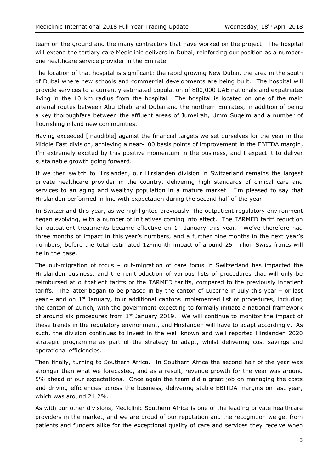team on the ground and the many contractors that have worked on the project. The hospital will extend the tertiary care Mediclinic delivers in Dubai, reinforcing our position as a numberone healthcare service provider in the Emirate.

The location of that hospital is significant: the rapid growing New Dubai, the area in the south of Dubai where new schools and commercial developments are being built. The hospital will provide services to a currently estimated population of 800,000 UAE nationals and expatriates living in the 10 km radius from the hospital. The hospital is located on one of the main arterial routes between Abu Dhabi and Dubai and the northern Emirates, in addition of being a key thoroughfare between the affluent areas of Jumeirah, Umm Suqeim and a number of flourishing inland new communities.

Having exceeded [inaudible] against the financial targets we set ourselves for the year in the Middle East division, achieving a near-100 basis points of improvement in the EBITDA margin, I'm extremely excited by this positive momentum in the business, and I expect it to deliver sustainable growth going forward.

If we then switch to Hirslanden, our Hirslanden division in Switzerland remains the largest private healthcare provider in the country, delivering high standards of clinical care and services to an aging and wealthy population in a mature market. I'm pleased to say that Hirslanden performed in line with expectation during the second half of the year.

In Switzerland this year, as we highlighted previously, the outpatient regulatory environment began evolving, with a number of initiatives coming into effect. The TARMED tariff reduction for outpatient treatments became effective on  $1<sup>st</sup>$  January this year. We've therefore had three months of impact in this year's numbers, and a further nine months in the next year's numbers, before the total estimated 12-month impact of around 25 million Swiss francs will be in the base.

The out-migration of focus – out-migration of care focus in Switzerland has impacted the Hirslanden business, and the reintroduction of various lists of procedures that will only be reimbursed at outpatient tariffs or the TARMED tariffs, compared to the previously inpatient tariffs. The latter began to be phased in by the canton of Lucerne in July this year – or last year – and on  $1<sup>st</sup>$  January, four additional cantons implemented list of procedures, including the canton of Zurich, with the government expecting to formally initiate a national framework of around six procedures from  $1<sup>st</sup>$  January 2019. We will continue to monitor the impact of these trends in the regulatory environment, and Hirslanden will have to adapt accordingly. As such, the division continues to invest in the well known and well reported Hirslanden 2020 strategic programme as part of the strategy to adapt, whilst delivering cost savings and operational efficiencies.

Then finally, turning to Southern Africa. In Southern Africa the second half of the year was stronger than what we forecasted, and as a result, revenue growth for the year was around 5% ahead of our expectations. Once again the team did a great job on managing the costs and driving efficiencies across the business, delivering stable EBITDA margins on last year, which was around 21.2%.

As with our other divisions, Mediclinic Southern Africa is one of the leading private healthcare providers in the market, and we are proud of our reputation and the recognition we get from patients and funders alike for the exceptional quality of care and services they receive when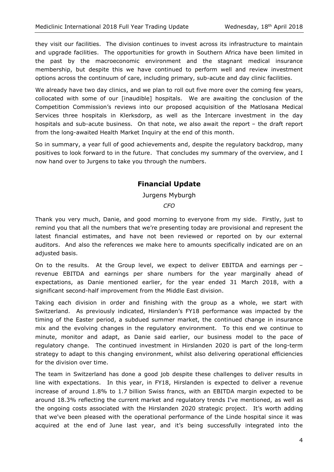they visit our facilities. The division continues to invest across its infrastructure to maintain and upgrade facilities. The opportunities for growth in Southern Africa have been limited in the past by the macroeconomic environment and the stagnant medical insurance membership, but despite this we have continued to perform well and review investment options across the continuum of care, including primary, sub-acute and day clinic facilities.

We already have two day clinics, and we plan to roll out five more over the coming few years, collocated with some of our [inaudible] hospitals. We are awaiting the conclusion of the Competition Commission's reviews into our proposed acquisition of the Matlosana Medical Services three hospitals in Klerksdorp, as well as the Intercare investment in the day hospitals and sub-acute business. On that note, we also await the report – the draft report from the long-awaited Health Market Inquiry at the end of this month.

So in summary, a year full of good achievements and, despite the regulatory backdrop, many positives to look forward to in the future. That concludes my summary of the overview, and I now hand over to Jurgens to take you through the numbers.

## **Financial Update**

#### Jurgens Myburgh

*CFO*

Thank you very much, Danie, and good morning to everyone from my side. Firstly, just to remind you that all the numbers that we're presenting today are provisional and represent the latest financial estimates, and have not been reviewed or reported on by our external auditors. And also the references we make here to amounts specifically indicated are on an adjusted basis.

On to the results. At the Group level, we expect to deliver EBITDA and earnings per – revenue EBITDA and earnings per share numbers for the year marginally ahead of expectations, as Danie mentioned earlier, for the year ended 31 March 2018, with a significant second-half improvement from the Middle East division.

Taking each division in order and finishing with the group as a whole, we start with Switzerland. As previously indicated, Hirslanden's FY18 performance was impacted by the timing of the Easter period, a subdued summer market, the continued change in insurance mix and the evolving changes in the regulatory environment. To this end we continue to minute, monitor and adapt, as Danie said earlier, our business model to the pace of regulatory change. The continued investment in Hirslanden 2020 is part of the long-term strategy to adapt to this changing environment, whilst also delivering operational efficiencies for the division over time.

The team in Switzerland has done a good job despite these challenges to deliver results in line with expectations. In this year, in FY18, Hirslanden is expected to deliver a revenue increase of around 1.8% to 1.7 billion Swiss francs, with an EBITDA margin expected to be around 18.3% reflecting the current market and regulatory trends I've mentioned, as well as the ongoing costs associated with the Hirslanden 2020 strategic project. It's worth adding that we've been pleased with the operational performance of the Linde hospital since it was acquired at the end of June last year, and it's being successfully integrated into the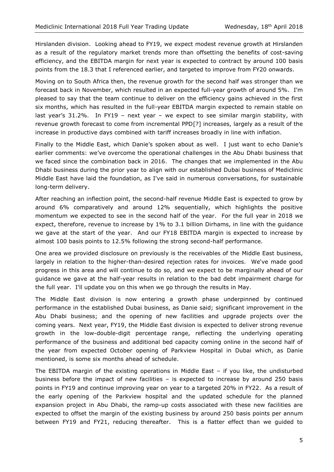Hirslanden division. Looking ahead to FY19, we expect modest revenue growth at Hirslanden as a result of the regulatory market trends more than offsetting the benefits of cost-saving efficiency, and the EBITDA margin for next year is expected to contract by around 100 basis points from the 18.3 that I referenced earlier, and targeted to improve from FY20 onwards.

Moving on to South Africa then, the revenue growth for the second half was stronger than we forecast back in November, which resulted in an expected full-year growth of around 5%. I'm pleased to say that the team continue to deliver on the efficiency gains achieved in the first six months, which has resulted in the full-year EBITDA margin expected to remain stable on last year's 31.2%. In FY19 – next year – we expect to see similar margin stability, with revenue growth forecast to come from incremental PPD[?] increases, largely as a result of the increase in productive days combined with tariff increases broadly in line with inflation.

Finally to the Middle East, which Danie's spoken about as well. I just want to echo Danie's earlier comments: we've overcome the operational challenges in the Abu Dhabi business that we faced since the combination back in 2016. The changes that we implemented in the Abu Dhabi business during the prior year to align with our established Dubai business of Mediclinic Middle East have laid the foundation, as I've said in numerous conversations, for sustainable long-term delivery.

After reaching an inflection point, the second-half revenue Middle East is expected to grow by around 6% comparatively and around 12% sequentially, which highlights the positive momentum we expected to see in the second half of the year. For the full year in 2018 we expect, therefore, revenue to increase by 1% to 3.1 billion Dirhams, in line with the guidance we gave at the start of the year. And our FY18 EBITDA margin is expected to increase by almost 100 basis points to 12.5% following the strong second-half performance.

One area we provided disclosure on previously is the receivables of the Middle East business, largely in relation to the higher-than-desired rejection rates for invoices. We've made good progress in this area and will continue to do so, and we expect to be marginally ahead of our guidance we gave at the half-year results in relation to the bad debt impairment charge for the full year. I'll update you on this when we go through the results in May.

The Middle East division is now entering a growth phase underpinned by continued performance in the established Dubai business, as Danie said; significant improvement in the Abu Dhabi business; and the opening of new facilities and upgrade projects over the coming years. Next year, FY19, the Middle East division is expected to deliver strong revenue growth in the low-double-digit percentage range, reflecting the underlying operating performance of the business and additional bed capacity coming online in the second half of the year from expected October opening of Parkview Hospital in Dubai which, as Danie mentioned, is some six months ahead of schedule.

The EBITDA margin of the existing operations in Middle East – if you like, the undisturbed business before the impact of new facilities – is expected to increase by around 250 basis points in FY19 and continue improving year on year to a targeted 20% in FY22. As a result of the early opening of the Parkview hospital and the updated schedule for the planned expansion project in Abu Dhabi, the ramp-up costs associated with these new facilities are expected to offset the margin of the existing business by around 250 basis points per annum between FY19 and FY21, reducing thereafter. This is a flatter effect than we guided to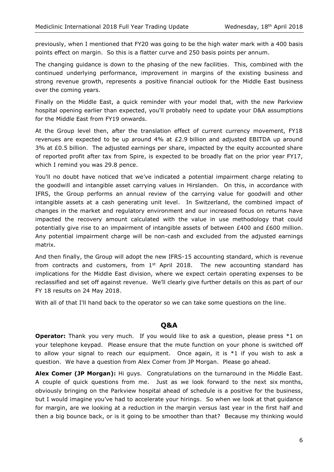previously, when I mentioned that FY20 was going to be the high water mark with a 400 basis points effect on margin. So this is a flatter curve and 250 basis points per annum.

The changing guidance is down to the phasing of the new facilities. This, combined with the continued underlying performance, improvement in margins of the existing business and strong revenue growth, represents a positive financial outlook for the Middle East business over the coming years.

Finally on the Middle East, a quick reminder with your model that, with the new Parkview hospital opening earlier than expected, you'll probably need to update your D&A assumptions for the Middle East from FY19 onwards.

At the Group level then, after the translation effect of current currency movement, FY18 revenues are expected to be up around 4% at £2.9 billion and adjusted EBITDA up around 3% at £0.5 billion. The adjusted earnings per share, impacted by the equity accounted share of reported profit after tax from Spire, is expected to be broadly flat on the prior year FY17, which I remind you was 29.8 pence.

You'll no doubt have noticed that we've indicated a potential impairment charge relating to the goodwill and intangible asset carrying values in Hirslanden. On this, in accordance with IFRS, the Group performs an annual review of the carrying value for goodwill and other intangible assets at a cash generating unit level. In Switzerland, the combined impact of changes in the market and regulatory environment and our increased focus on returns have impacted the recovery amount calculated with the value in use methodology that could potentially give rise to an impairment of intangible assets of between £400 and £600 million. Any potential impairment charge will be non-cash and excluded from the adjusted earnings matrix.

And then finally, the Group will adopt the new IFRS-15 accounting standard, which is revenue from contracts and customers, from  $1<sup>st</sup>$  April 2018. The new accounting standard has implications for the Middle East division, where we expect certain operating expenses to be reclassified and set off against revenue. We'll clearly give further details on this as part of our FY 18 results on 24 May 2018.

With all of that I'll hand back to the operator so we can take some questions on the line.

### **Q&A**

**Operator:** Thank you very much. If you would like to ask a question, please press \*1 on your telephone keypad. Please ensure that the mute function on your phone is switched off to allow your signal to reach our equipment. Once again, it is  $*1$  if you wish to ask a question. We have a question from Alex Comer from JP Morgan. Please go ahead.

**Alex Comer (JP Morgan):** Hi guys. Congratulations on the turnaround in the Middle East. A couple of quick questions from me. Just as we look forward to the next six months, obviously bringing on the Parkview hospital ahead of schedule is a positive for the business, but I would imagine you've had to accelerate your hirings. So when we look at that guidance for margin, are we looking at a reduction in the margin versus last year in the first half and then a big bounce back, or is it going to be smoother than that? Because my thinking would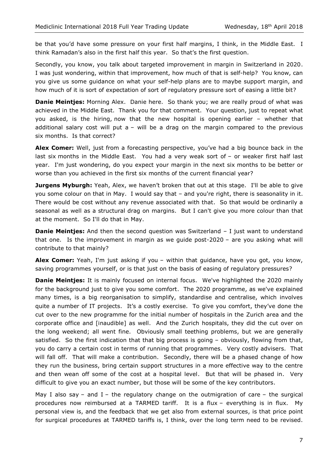be that you'd have some pressure on your first half margins, I think, in the Middle East. I think Ramadan's also in the first half this year. So that's the first question.

Secondly, you know, you talk about targeted improvement in margin in Switzerland in 2020. I was just wondering, within that improvement, how much of that is self-help? You know, can you give us some guidance on what your self-help plans are to maybe support margin, and how much of it is sort of expectation of sort of regulatory pressure sort of easing a little bit?

**Danie Meintjes:** Morning Alex. Danie here. So thank you; we are really proud of what was achieved in the Middle East. Thank you for that comment. Your question, just to repeat what you asked, is the hiring, now that the new hospital is opening earlier – whether that additional salary cost will put  $a$  – will be a drag on the margin compared to the previous six months. Is that correct?

**Alex Comer:** Well, just from a forecasting perspective, you've had a big bounce back in the last six months in the Middle East. You had a very weak sort of – or weaker first half last year. I'm just wondering, do you expect your margin in the next six months to be better or worse than you achieved in the first six months of the current financial year?

**Jurgens Myburgh:** Yeah, Alex, we haven't broken that out at this stage. I'll be able to give you some colour on that in May. I would say that - and you're right, there is seasonality in it. There would be cost without any revenue associated with that. So that would be ordinarily a seasonal as well as a structural drag on margins. But I can't give you more colour than that at the moment. So I'll do that in May.

**Danie Meinties:** And then the second question was Switzerland – I just want to understand that one. Is the improvement in margin as we guide post-2020 – are you asking what will contribute to that mainly?

**Alex Comer:** Yeah, I'm just asking if you – within that guidance, have you got, you know, saving programmes yourself, or is that just on the basis of easing of regulatory pressures?

**Danie Meintjes:** It is mainly focused on internal focus. We've highlighted the 2020 mainly for the background just to give you some comfort. The 2020 programme, as we've explained many times, is a big reorganisation to simplify, standardise and centralise, which involves quite a number of IT projects. It's a costly exercise. To give you comfort, they've done the cut over to the new programme for the initial number of hospitals in the Zurich area and the corporate office and [inaudible] as well. And the Zurich hospitals, they did the cut over on the long weekend; all went fine. Obviously small teething problems, but we are generally satisfied. So the first indication that that big process is going - obviously, flowing from that, you do carry a certain cost in terms of running that programmes. Very costly advisers. That will fall off. That will make a contribution. Secondly, there will be a phased change of how they run the business, bring certain support structures in a more effective way to the centre and then wean off some of the cost at a hospital level. But that will be phased in. Very difficult to give you an exact number, but those will be some of the key contributors.

May I also say – and I – the regulatory change on the outmigration of care – the surgical procedures now reimbursed at a TARMED tariff. It is a flux – everything is in flux. My personal view is, and the feedback that we get also from external sources, is that price point for surgical procedures at TARMED tariffs is, I think, over the long term need to be revised.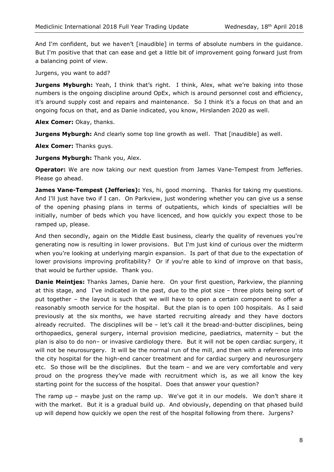And I'm confident, but we haven't [inaudible] in terms of absolute numbers in the guidance. But I'm positive that that can ease and get a little bit of improvement going forward just from a balancing point of view.

Jurgens, you want to add?

Jurgens Myburgh: Yeah, I think that's right. I think, Alex, what we're baking into those numbers is the ongoing discipline around OpEx, which is around personnel cost and efficiency, it's around supply cost and repairs and maintenance. So I think it's a focus on that and an ongoing focus on that, and as Danie indicated, you know, Hirslanden 2020 as well.

**Alex Comer:** Okay, thanks.

**Jurgens Myburgh:** And clearly some top line growth as well. That [inaudible] as well.

**Alex Comer:** Thanks guys.

**Jurgens Myburgh: Thank you, Alex.** 

**Operator:** We are now taking our next question from James Vane-Tempest from Jefferies. Please go ahead.

**James Vane-Tempest (Jefferies):** Yes, hi, good morning. Thanks for taking my questions. And I'll just have two if I can. On Parkview, just wondering whether you can give us a sense of the opening phasing plans in terms of outpatients, which kinds of specialties will be initially, number of beds which you have licenced, and how quickly you expect those to be ramped up, please.

And then secondly, again on the Middle East business, clearly the quality of revenues you're generating now is resulting in lower provisions. But I'm just kind of curious over the midterm when you're looking at underlying margin expansion. Is part of that due to the expectation of lower provisions improving profitability? Or if you're able to kind of improve on that basis, that would be further upside. Thank you.

**Danie Meintjes:** Thanks James, Danie here. On your first question, Parkview, the planning at this stage, and I've indicated in the past, due to the plot size – three plots being sort of put together – the layout is such that we will have to open a certain component to offer a reasonably smooth service for the hospital. But the plan is to open 100 hospitals. As I said previously at the six months, we have started recruiting already and they have doctors already recruited. The disciplines will be  $-$  let's call it the bread-and-butter disciplines, being orthopaedics, general surgery, internal provision medicine, paediatrics, maternity – but the plan is also to do non– or invasive cardiology there. But it will not be open cardiac surgery, it will not be neurosurgery. It will be the normal run of the mill, and then with a reference into the city hospital for the high-end cancer treatment and for cardiac surgery and neurosurgery etc. So those will be the disciplines. But the team – and we are very comfortable and very proud on the progress they've made with recruitment which is, as we all know the key starting point for the success of the hospital. Does that answer your question?

The ramp up – maybe just on the ramp up. We've got it in our models. We don't share it with the market. But it is a gradual build up. And obviously, depending on that phased build up will depend how quickly we open the rest of the hospital following from there. Jurgens?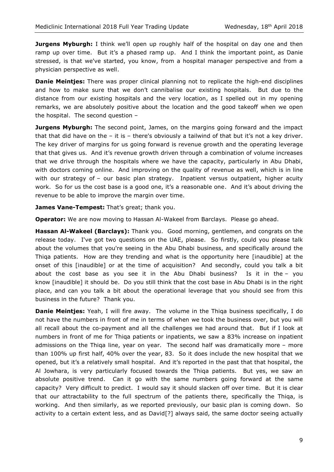**Jurgens Myburgh:** I think we'll open up roughly half of the hospital on day one and then ramp up over time. But it's a phased ramp up. And I think the important point, as Danie stressed, is that we've started, you know, from a hospital manager perspective and from a physician perspective as well.

**Danie Meintjes:** There was proper clinical planning not to replicate the high-end disciplines and how to make sure that we don't cannibalise our existing hospitals. But due to the distance from our existing hospitals and the very location, as I spelled out in my opening remarks, we are absolutely positive about the location and the good takeoff when we open the hospital. The second question –

**Jurgens Myburgh:** The second point, James, on the margins going forward and the impact that that did have on the  $-$  it is  $-$  there's obviously a tailwind of that but it's not a key driver. The key driver of margins for us going forward is revenue growth and the operating leverage that that gives us. And it's revenue growth driven through a combination of volume increases that we drive through the hospitals where we have the capacity, particularly in Abu Dhabi, with doctors coming online. And improving on the quality of revenue as well, which is in line with our strategy of - our basic plan strategy. Inpatient versus outpatient, higher acuity work. So for us the cost base is a good one, it's a reasonable one. And it's about driving the revenue to be able to improve the margin over time.

James Vane-Tempest: That's great; thank you.

**Operator:** We are now moving to Hassan Al-Wakeel from Barclays. Please go ahead.

**Hassan Al-Wakeel (Barclays):** Thank you. Good morning, gentlemen, and congrats on the release today. I've got two questions on the UAE, please. So firstly, could you please talk about the volumes that you're seeing in the Abu Dhabi business, and specifically around the Thiqa patients. How are they trending and what is the opportunity here [inaudible] at the onset of this [inaudible] or at the time of acquisition? And secondly, could you talk a bit about the cost base as you see it in the Abu Dhabi business? Is it in the – you know [inaudible] it should be. Do you still think that the cost base in Abu Dhabi is in the right place, and can you talk a bit about the operational leverage that you should see from this business in the future? Thank you.

**Danie Meintjes:** Yeah, I will fire away. The volume in the Thiqa business specifically, I do not have the numbers in front of me in terms of when we took the business over, but you will all recall about the co-payment and all the challenges we had around that. But if I look at numbers in front of me for Thiqa patients or inpatients, we saw a 83% increase on inpatient admissions on the Thiqa line, year on year. The second half was dramatically more – more than 100% up first half, 40% over the year, 83. So it does include the new hospital that we opened, but it's a relatively small hospital. And it's reported in the past that that hospital, the Al Jowhara, is very particularly focused towards the Thiqa patients. But yes, we saw an absolute positive trend. Can it go with the same numbers going forward at the same capacity? Very difficult to predict. I would say it should slacken off over time. But it is clear that our attractability to the full spectrum of the patients there, specifically the Thiqa, is working. And then similarly, as we reported previously, our basic plan is coming down. So activity to a certain extent less, and as David[?] always said, the same doctor seeing actually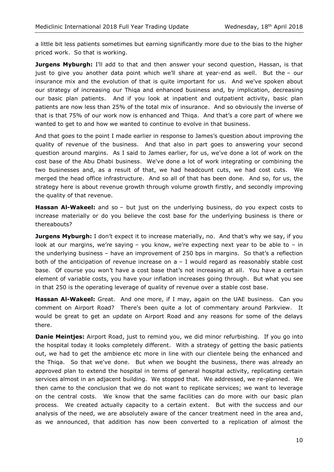a little bit less patients sometimes but earning significantly more due to the bias to the higher priced work. So that is working.

**Jurgens Myburgh:** I'll add to that and then answer your second question, Hassan, is that just to give you another data point which we'll share at year-end as well. But the – our insurance mix and the evolution of that is quite important for us. And we've spoken about our strategy of increasing our Thiqa and enhanced business and, by implication, decreasing our basic plan patients. And if you look at inpatient and outpatient activity, basic plan patients are now less than 25% of the total mix of insurance. And so obviously the inverse of that is that 75% of our work now is enhanced and Thiqa. And that's a core part of where we wanted to get to and how we wanted to continue to evolve in that business.

And that goes to the point I made earlier in response to James's question about improving the quality of revenue of the business. And that also in part goes to answering your second question around margins. As I said to James earlier, for us, we've done a lot of work on the cost base of the Abu Dhabi business. We've done a lot of work integrating or combining the two businesses and, as a result of that, we had headcount cuts, we had cost cuts. We merged the head office infrastructure. And so all of that has been done. And so, for us, the strategy here is about revenue growth through volume growth firstly, and secondly improving the quality of that revenue.

**Hassan Al-Wakeel:** and so – but just on the underlying business, do you expect costs to increase materially or do you believe the cost base for the underlying business is there or thereabouts?

**Jurgens Myburgh:** I don't expect it to increase materially, no. And that's why we say, if you look at our margins, we're saying – you know, we're expecting next year to be able to – in the underlying business – have an improvement of 250 bps in margins. So that's a reflection both of the anticipation of revenue increase on  $a - I$  would regard as reasonably stable cost base. Of course you won't have a cost base that's not increasing at all. You have a certain element of variable costs, you have your inflation increases going through. But what you see in that 250 is the operating leverage of quality of revenue over a stable cost base.

**Hassan Al-Wakeel:** Great. And one more, if I may, again on the UAE business. Can you comment on Airport Road? There's been quite a lot of commentary around Parkview. It would be great to get an update on Airport Road and any reasons for some of the delays there.

**Danie Meintjes:** Airport Road, just to remind you, we did minor refurbishing. If you go into the hospital today it looks completely different. With a strategy of getting the basic patients out, we had to get the ambience etc more in line with our clientele being the enhanced and the Thiqa. So that we've done. But when we bought the business, there was already an approved plan to extend the hospital in terms of general hospital activity, replicating certain services almost in an adjacent building. We stopped that. We addressed, we re-planned. We then came to the conclusion that we do not want to replicate services; we want to leverage on the central costs. We know that the same facilities can do more with our basic plan process. We created actually capacity to a certain extent. But with the success and our analysis of the need, we are absolutely aware of the cancer treatment need in the area and, as we announced, that addition has now been converted to a replication of almost the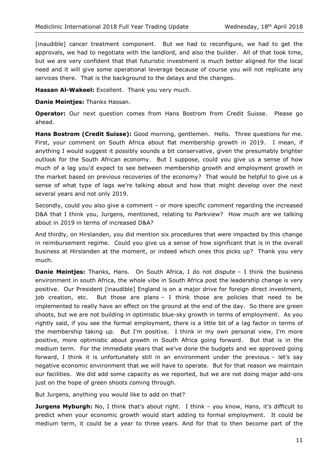[inaudible] cancer treatment component. But we had to reconfigure, we had to get the approvals, we had to negotiate with the landlord, and also the builder. All of that took time, but we are very confident that that futuristic investment is much better aligned for the local need and it will give some operational leverage because of course you will not replicate any services there. That is the background to the delays and the changes.

**Hassan Al-Wakeel:** Excellent. Thank you very much.

**Danie Meintjes:** Thanks Hassan.

**Operator:** Our next question comes from Hans Bostrom from Credit Suisse. Please go ahead.

**Hans Bostrom (Credit Suisse):** Good morning, gentlemen. Hello. Three questions for me. First, your comment on South Africa about flat membership growth in 2019. I mean, if anything I would suggest it possibly sounds a bit conservative, given the presumably brighter outlook for the South African economy. But I suppose, could you give us a sense of how much of a lag you'd expect to see between membership growth and employment growth in the market based on previous recoveries of the economy? That would be helpful to give us a sense of what type of lags we're talking about and how that might develop over the next several years and not only 2019.

Secondly, could you also give a comment – or more specific comment regarding the increased D&A that I think you, Jurgens, mentioned, relating to Parkview? How much are we talking about in 2019 in terms of increased D&A?

And thirdly, on Hirslanden, you did mention six procedures that were impacted by this change in reimbursement regime. Could you give us a sense of how significant that is in the overall business at Hirslanden at the moment, or indeed which ones this picks up? Thank you very much.

**Danie Meintjes:** Thanks, Hans. On South Africa, I do not dispute – I think the business environment in south Africa, the whole vibe in South Africa post the leadership change is very positive. Our President [inaudible] England is on a major drive for foreign direct investment, job creation, etc. But those are plans – I think those are policies that need to be implemented to really have an effect on the ground at the end of the day. So there are green shoots, but we are not building in optimistic blue-sky growth in terms of employment. As you rightly said, if you see the formal employment, there is a little bit of a lag factor in terms of the membership taking up. But I'm positive. I think in my own personal view, I'm more positive, more optimistic about growth in South Africa going forward. But that is in the medium term. For the immediate years that we've done the budgets and we approved going forward, I think it is unfortunately still in an environment under the previous – let's say negative economic environment that we will have to operate. But for that reason we maintain our facilities. We did add some capacity as we reported, but we are not doing major add-ons just on the hope of green shoots coming through.

But Jurgens, anything you would like to add on that?

**Jurgens Myburgh:** No, I think that's about right. I think - you know, Hans, it's difficult to predict when your economic growth would start adding to formal employment. It could be medium term, it could be a year to three years. And for that to then become part of the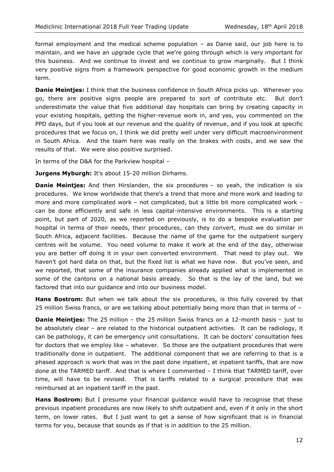formal employment and the medical scheme population – as Danie said, our job here is to maintain, and we have an upgrade cycle that we're going through which is very important for this business. And we continue to invest and we continue to grow marginally. But I think very positive signs from a framework perspective for good economic growth in the medium term.

**Danie Meintjes:** I think that the business confidence in South Africa picks up. Wherever you go, there are positive signs people are prepared to sort of contribute etc. But don't underestimate the value that five additional day hospitals can bring by creating capacity in your existing hospitals, getting the higher-revenue work in, and yes, you commented on the PPD days, but if you look at our revenue and the quality of revenue, and if you look at specific procedures that we focus on, I think we did pretty well under very difficult macroenvironment in South Africa. And the team here was really on the brakes with costs, and we saw the results of that. We were also positive surprised.

In terms of the D&A for the Parkview hospital –

**Jurgens Myburgh:** It's about 15-20 million Dirhams.

**Danie Meintjes:** And then Hirslanden, the six procedures - so yeah, the indication is six procedures. We know worldwide that there's a trend that more and more work and leading to more and more complicated work – not complicated, but a little bit more complicated work – can be done efficiently and safe in less capital-intensive environments. This is a starting point, but part of 2020, as we reported on previously, is to do a bespoke evaluation per hospital in terms of their needs, their procedures, can they convert, must we do similar in South Africa, adjacent facilities. Because the name of the game for the outpatient surgery centres will be volume. You need volume to make it work at the end of the day, otherwise you are better off doing it in your own converted environment. That need to play out. We haven't got hard data on that, but the fixed list is what we have now. But you've seen, and we reported, that some of the insurance companies already applied what is implemented in some of the cantons on a national basis already. So that is the lay of the land, but we factored that into our guidance and into our business model.

**Hans Bostrom:** But when we talk about the six procedures, is this fully covered by that 25 million Swiss francs, or are we talking about potentially being more than that in terms of –

**Danie Meintjes:** The 25 million – the 25 million Swiss francs on a 12-month basis – just to be absolutely clear – are related to the historical outpatient activities. It can be radiology, it can be pathology, it can be emergency unit consultations. It can be doctors' consultation fees for doctors that we employ like – whatever. So those are the outpatient procedures that were traditionally done in outpatient. The additional component that we are referring to that is a phased approach is work that was in the past done inpatient, at inpatient tariffs, that are now done at the TARMED tariff. And that is where I commented – I think that TARMED tariff, over time, will have to be revised. That is tariffs related to a surgical procedure that was reimbursed at an inpatient tariff in the past.

**Hans Bostrom:** But I presume your financial guidance would have to recognise that these previous inpatient procedures are now likely to shift outpatient and, even if it only in the short term, on lower rates. But I just want to get a sense of how significant that is in financial terms for you, because that sounds as if that is in addition to the 25 million.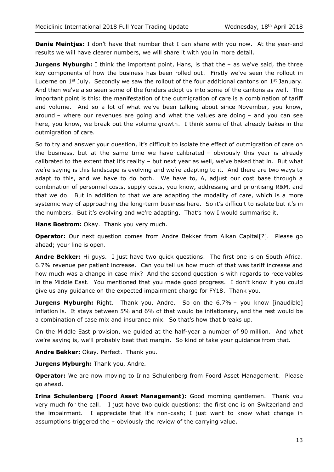**Danie Meintjes:** I don't have that number that I can share with you now. At the year-end results we will have clearer numbers, we will share it with you in more detail.

**Jurgens Myburgh:** I think the important point, Hans, is that the - as we've said, the three key components of how the business has been rolled out. Firstly we've seen the rollout in Lucerne on  $1^{st}$  July. Secondly we saw the rollout of the four additional cantons on  $1^{st}$  January. And then we've also seen some of the funders adopt us into some of the cantons as well. The important point is this: the manifestation of the outmigration of care is a combination of tariff and volume. And so a lot of what we've been talking about since November, you know, around – where our revenues are going and what the values are doing – and you can see here, you know, we break out the volume growth. I think some of that already bakes in the outmigration of care.

So to try and answer your question, it's difficult to isolate the effect of outmigration of care on the business, but at the same time we have calibrated – obviously this year is already calibrated to the extent that it's reality – but next year as well, we've baked that in. But what we're saying is this landscape is evolving and we're adapting to it. And there are two ways to adapt to this, and we have to do both. We have to, A, adjust our cost base through a combination of personnel costs, supply costs, you know, addressing and prioritising R&M, and that we do. But in addition to that we are adapting the modality of care, which is a more systemic way of approaching the long-term business here. So it's difficult to isolate but it's in the numbers. But it's evolving and we're adapting. That's how I would summarise it.

**Hans Bostrom:** Okay. Thank you very much.

**Operator:** Our next question comes from Andre Bekker from Alkan Capital<sup>[?]</sup>. Please go ahead; your line is open.

**Andre Bekker:** Hi guys. I just have two quick questions. The first one is on South Africa. 6.7% revenue per patient increase. Can you tell us how much of that was tariff increase and how much was a change in case mix? And the second question is with regards to receivables in the Middle East. You mentioned that you made good progress. I don't know if you could give us any guidance on the expected impairment charge for FY18. Thank you.

**Jurgens Myburgh:** Right. Thank you, Andre. So on the 6.7% – you know [inaudible] inflation is. It stays between 5% and 6% of that would be inflationary, and the rest would be a combination of case mix and insurance mix. So that's how that breaks up.

On the Middle East provision, we guided at the half-year a number of 90 million. And what we're saying is, we'll probably beat that margin. So kind of take your guidance from that.

**Andre Bekker:** Okay. Perfect. Thank you.

**Jurgens Myburgh:** Thank you, Andre.

**Operator:** We are now moving to Irina Schulenberg from Foord Asset Management. Please go ahead.

**Irina Schulenberg (Foord Asset Management):** Good morning gentlemen. Thank you very much for the call. I just have two quick questions: the first one is on Switzerland and the impairment. I appreciate that it's non-cash; I just want to know what change in assumptions triggered the – obviously the review of the carrying value.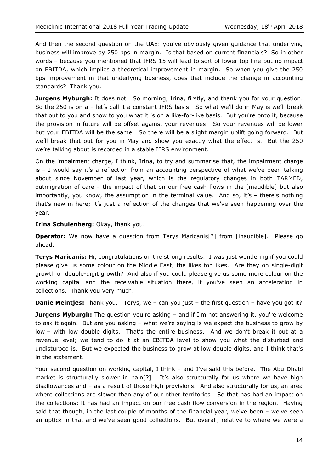And then the second question on the UAE: you've obviously given guidance that underlying business will improve by 250 bps in margin. Is that based on current financials? So in other words – because you mentioned that IFRS 15 will lead to sort of lower top line but no impact on EBITDA, which implies a theoretical improvement in margin. So when you give the 250 bps improvement in that underlying business, does that include the change in accounting standards? Thank you.

**Jurgens Myburgh:** It does not. So morning, Irina, firstly, and thank you for your question. So the 250 is on a – let's call it a constant IFRS basis. So what we'll do in May is we'll break that out to you and show to you what it is on a like-for-like basis. But you're onto it, because the provision in future will be offset against your revenues. So your revenues will be lower but your EBITDA will be the same. So there will be a slight margin uplift going forward. But we'll break that out for you in May and show you exactly what the effect is. But the 250 we're talking about is recorded in a stable IFRS environment.

On the impairment charge, I think, Irina, to try and summarise that, the impairment charge is – I would say it's a reflection from an accounting perspective of what we've been talking about since November of last year, which is the regulatory changes in both TARMED, outmigration of care – the impact of that on our free cash flows in the [inaudible] but also importantly, you know, the assumption in the terminal value. And so, it's – there's nothing that's new in here; it's just a reflection of the changes that we've seen happening over the year.

**Irina Schulenberg:** Okay, thank you.

**Operator:** We now have a question from Terys Maricanis<sup>[?]</sup> from [inaudible]. Please go ahead.

**Terys Maricanis:** Hi, congratulations on the strong results. I was just wondering if you could please give us some colour on the Middle East, the likes for likes. Are they on single-digit growth or double-digit growth? And also if you could please give us some more colour on the working capital and the receivable situation there, if you've seen an acceleration in collections. Thank you very much.

**Danie Meintjes:** Thank you. Terys, we - can you just - the first question - have you got it?

**Jurgens Myburgh:** The question you're asking - and if I'm not answering it, you're welcome to ask it again. But are you asking – what we're saying is we expect the business to grow by low – with low double digits. That's the entire business. And we don't break it out at a revenue level; we tend to do it at an EBITDA level to show you what the disturbed and undisturbed is. But we expected the business to grow at low double digits, and I think that's in the statement.

Your second question on working capital, I think – and I've said this before. The Abu Dhabi market is structurally slower in pain[?]. It's also structurally for us where we have high disallowances and – as a result of those high provisions. And also structurally for us, an area where collections are slower than any of our other territories. So that has had an impact on the collections; it has had an impact on our free cash flow conversion in the region. Having said that though, in the last couple of months of the financial year, we've been – we've seen an uptick in that and we've seen good collections. But overall, relative to where we were a